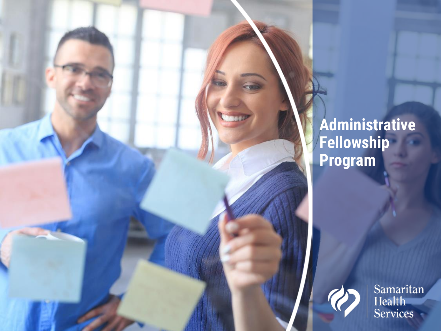### **Administrative Fellowship Program**



Samaritan<br>Health<br>Services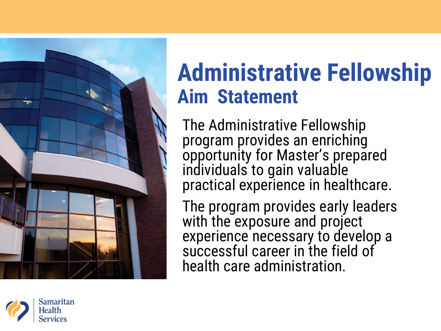

## **Administrative Fellowship Aim Statement**

The Administrative Fellowship program provides an enriching opportunity for Master's prepared individuals to gain valuable practical experience in healthcare.

The program provides early leaders with the exposure and project experience necessary to develop a successful career in the field of health care administration.

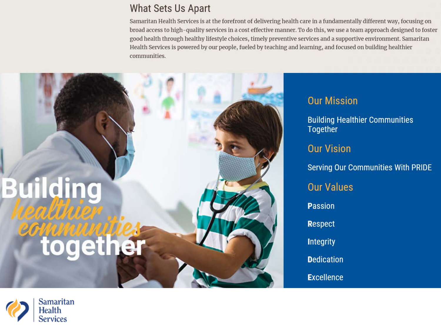### What Sets Us Apart

Samaritan Health Services is at the forefront of delivering health care in a fundamentally different way, focusing on broad access to high-quality services in a cost effective manner. To do this, we use a team approach designed to foster good health through healthy lifestyle choices, timely preventive services and a supportive environment. Samaritan Health Services is powered by our people, fueled by teaching and learning, and focused on building healthier communities.



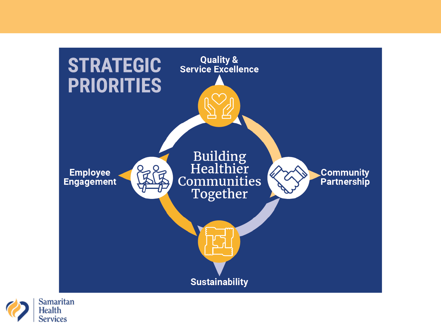

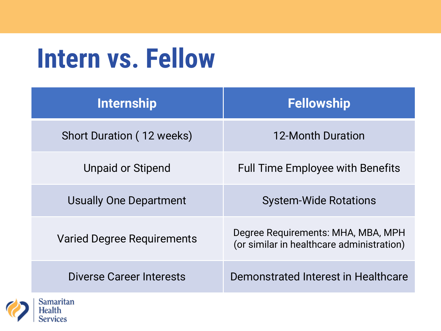## **Intern vs. Fellow**

| <b>Internship</b>                 | <b>Fellowship</b>                                                               |  |  |  |  |
|-----------------------------------|---------------------------------------------------------------------------------|--|--|--|--|
| Short Duration (12 weeks)         | 12-Month Duration                                                               |  |  |  |  |
| Unpaid or Stipend                 | <b>Full Time Employee with Benefits</b>                                         |  |  |  |  |
| <b>Usually One Department</b>     | <b>System-Wide Rotations</b>                                                    |  |  |  |  |
| <b>Varied Degree Requirements</b> | Degree Requirements: MHA, MBA, MPH<br>(or similar in healthcare administration) |  |  |  |  |
| Diverse Career Interests          | Demonstrated Interest in Healthcare                                             |  |  |  |  |

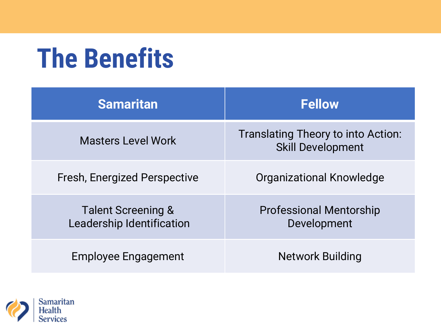## **The Benefits**

| <b>Samaritan</b>                                | <b>Fellow</b>                                                             |  |  |  |  |
|-------------------------------------------------|---------------------------------------------------------------------------|--|--|--|--|
| <b>Masters Level Work</b>                       | Translating Theory to into Action:<br><b>Skill Development</b>            |  |  |  |  |
| Fresh, Energized Perspective                    | Organizational Knowledge<br><b>Professional Mentorship</b><br>Development |  |  |  |  |
| Talent Screening &<br>Leadership Identification |                                                                           |  |  |  |  |
| Employee Engagement                             | <b>Network Building</b>                                                   |  |  |  |  |

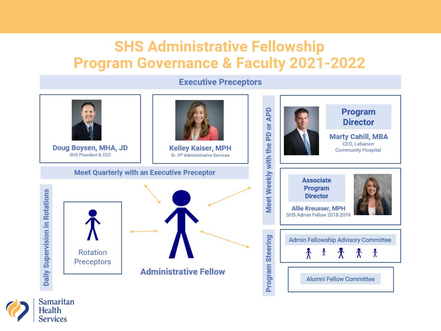### **SHS Administrative Fellowship Program Governance & Faculty 2021-2022**

#### **Executive Preceptors** Meet Weekly with the PD or APD Program **Director Marty Cahill, MBA** CEO, Lebanon **Kelley Kaiser, MPH** Doug Boysen, MHA, JD **Community Hospital SHS President & CEO** Sr. VP Administrative Services **Meet Quarterly with an Executive Preceptor Associate** Program Daily Supervision in Rotations **Director Allie Kreusser, MPH** SHS Admin Fellow 2018-2019 **Program Steering Admin Fellowship Advisory Committee** Rotation ᢜ  $\hbar$  $\Lambda$  $\bar{\Lambda}$ Preceptors **Administrative Fellow Alumni Fellow Committee**

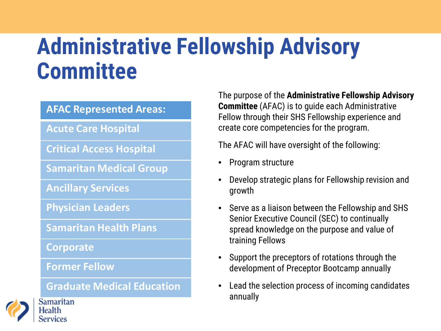### **Administrative Fellowship Advisory Committee**

#### **AFAC Represented Areas:**

**Acute Care Hospital**

**Critical Access Hospital**

**Samaritan Medical Group**

**Ancillary Services**

**Physician Leaders**

**Samaritan Health Plans**

**Corporate**

**Former Fellow**

**Graduate Medical Education**



The purpose of the **Administrative Fellowship Advisory** 

- Program structure
- Develop strategic plans for Fellowship revision and growth
- Serve as a liaison between the Fellowship and SHS Senior Executive Council (SEC) to continually spread knowledge on the purpose and value of training Fellows
- Support the preceptors of rotations through the development of Preceptor Bootcamp annually
- Lead the selection process of incoming candidates annually



Health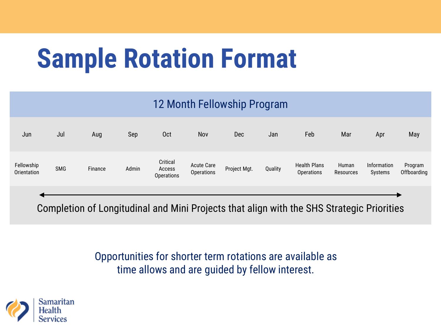## **Sample Rotation Format**

### 12 Month Fellowship Program

| Jun                       | Jul        | Aug           | Sep                               | 0 <sub>ct</sub>                         | Nov                                                                                                             | Dec          | Jan     | Feb                                      | Mar                | Apr                    | May                    |
|---------------------------|------------|---------------|-----------------------------------|-----------------------------------------|-----------------------------------------------------------------------------------------------------------------|--------------|---------|------------------------------------------|--------------------|------------------------|------------------------|
| Fellowship<br>Orientation | <b>SMG</b> | Finance       | Admin                             | Critical<br>Access<br><b>Operations</b> | <b>Acute Care</b><br><b>Operations</b>                                                                          | Project Mgt. | Quality | <b>Health Plans</b><br><b>Operations</b> | Human<br>Resources | Information<br>Systems | Program<br>Offboarding |
|                           |            | $\sim$ $\sim$ | the company's company's company's |                                         | the contract of the contract of the contract of the contract of the contract of the contract of the contract of |              | .       |                                          |                    |                        |                        |

Completion of Longitudinal and Mini Projects that align with the SHS Strategic Priorities

Opportunities for shorter term rotations are available as time allows and are guided by fellow interest.

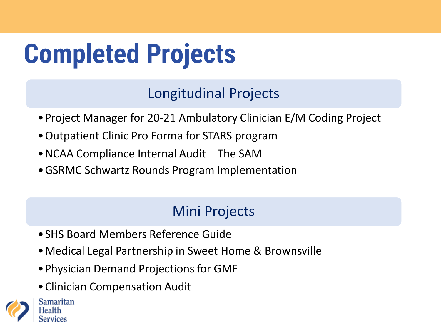## **Completed Projects**

Longitudinal Projects

- •Project Manager for 20-21 Ambulatory Clinician E/M Coding Project
- •Outpatient Clinic Pro Forma for STARS program
- •NCAA Compliance Internal Audit The SAM
- •GSRMC Schwartz Rounds Program Implementation

### Mini Projects

- •SHS Board Members Reference Guide
- •Medical Legal Partnership in Sweet Home & Brownsville
- •Physician Demand Projections for GME
- •Clinician Compensation Audit

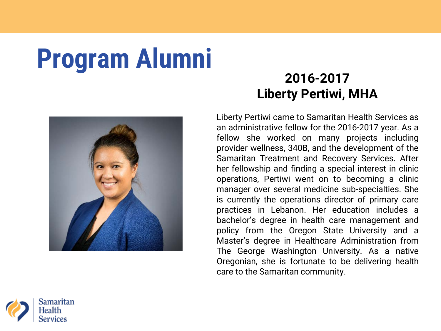# **Program Alumni 2016-2017**



## **Liberty Pertiwi, MHA**

Liberty Pertiwi came to Samaritan Health Services as an administrative fellow for the 2016-2017 year. As a fellow she worked on many projects including provider wellness, 340B, and the development of the Samaritan Treatment and Recovery Services. After her fellowship and finding a special interest in clinic operations, Pertiwi went on to becoming a clinic manager over several medicine sub-specialties. She is currently the operations director of primary care practices in Lebanon. Her education includes a bachelor's degree in health care management and policy from the Oregon State University and a Master's degree in Healthcare Administration from The George Washington University. As a native Oregonian, she is fortunate to be delivering health care to the Samaritan community.

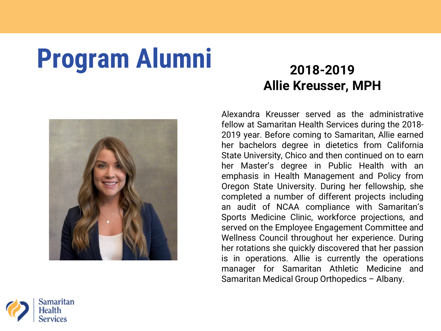## **Program Alumni** 2018-2019



## **Allie Kreusser, MPH**

Alexandra Kreusser served as the administrative fellow at Samaritan Health Services during the 2018- 2019 year. Before coming to Samaritan, Allie earned her bachelors degree in dietetics from California State University, Chico and then continued on to earn her Master's degree in Public Health with an emphasis in Health Management and Policy from Oregon State University. During her fellowship, she completed a number of different projects including an audit of NCAA compliance with Samaritan's Sports Medicine Clinic, workforce projections, and served on the Employee Engagement Committee and Wellness Council throughout her experience. During her rotations she quickly discovered that her passion is in operations. Allie is currently the operations manager for Samaritan Athletic Medicine and Samaritan Medical Group Orthopedics – Albany.

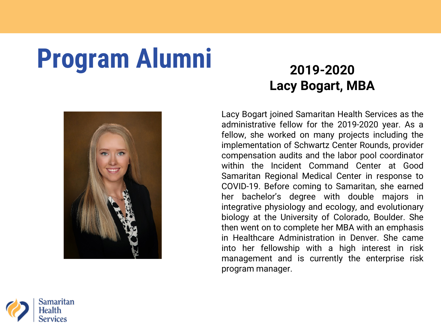## **Program Alumni** 2019-2020



# **Lacy Bogart, MBA**

Lacy Bogart joined Samaritan Health Services as the administrative fellow for the 2019-2020 year. As a fellow, she worked on many projects including the implementation of Schwartz Center Rounds, provider compensation audits and the labor pool coordinator within the Incident Command Center at Good Samaritan Regional Medical Center in response to COVID-19. Before coming to Samaritan, she earned her bachelor's degree with double majors in integrative physiology and ecology, and evolutionary biology at the University of Colorado, Boulder. She then went on to complete her MBA with an emphasis in Healthcare Administration in Denver. She came into her fellowship with a high interest in risk management and is currently the enterprise risk program manager.

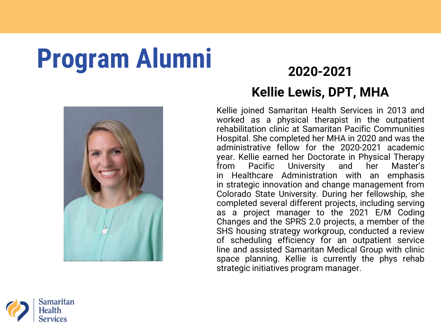## Program Alumni **2020-2021**



# **Kellie Lewis, DPT, MHA**

Kellie joined Samaritan Health Services in 2013 and worked as a physical therapist in the outpatient rehabilitation clinic at Samaritan Pacific Communities Hospital. She completed her MHA in 2020 and was the administrative fellow for the 2020-2021 academic year. Kellie earned her Doctorate in Physical Therapy from Pacific University and her Master's in Healthcare Administration with an emphasis in strategic innovation and change management from Colorado State University. During her fellowship, she completed several different projects, including serving as a project manager to the 2021 E/M Coding Changes and the SPRS 2.0 projects, a member of the SHS housing strategy workgroup, conducted a review of scheduling efficiency for an outpatient service line and assisted Samaritan Medical Group with clinic space planning. Kellie is currently the phys rehab strategic initiatives program manager.

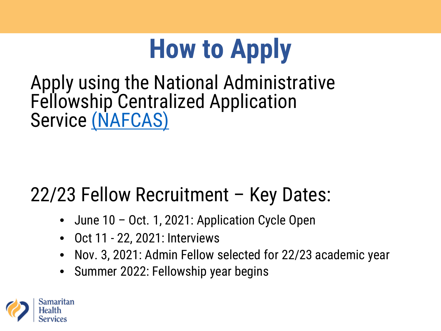## **How to Apply**

Apply using the National Administrative Fellowship Centralized Application Service [\(NAFCAS\)](https://nafcas.liaisoncas.org/)

### 22/23 Fellow Recruitment – Key Dates:

- June 10 Oct. 1, 2021: Application Cycle Open
- Oct 11 22, 2021: Interviews
- Nov. 3, 2021: Admin Fellow selected for 22/23 academic year
- Summer 2022: Fellowship year begins